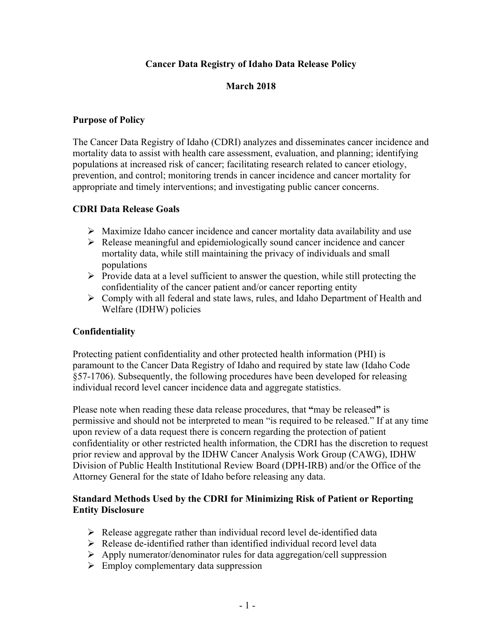## **Cancer Data Registry of Idaho Data Release Policy**

# **March 2018**

#### **Purpose of Policy**

The Cancer Data Registry of Idaho (CDRI) analyzes and disseminates cancer incidence and mortality data to assist with health care assessment, evaluation, and planning; identifying populations at increased risk of cancer; facilitating research related to cancer etiology, prevention, and control; monitoring trends in cancer incidence and cancer mortality for appropriate and timely interventions; and investigating public cancer concerns.

#### **CDRI Data Release Goals**

- $\triangleright$  Maximize Idaho cancer incidence and cancer mortality data availability and use
- $\triangleright$  Release meaningful and epidemiologically sound cancer incidence and cancer mortality data, while still maintaining the privacy of individuals and small populations
- $\triangleright$  Provide data at a level sufficient to answer the question, while still protecting the confidentiality of the cancer patient and/or cancer reporting entity
- Comply with all federal and state laws, rules, and Idaho Department of Health and Welfare (IDHW) policies

## **Confidentiality**

Protecting patient confidentiality and other protected health information (PHI) is paramount to the Cancer Data Registry of Idaho and required by state law (Idaho Code §57-1706). Subsequently, the following procedures have been developed for releasing individual record level cancer incidence data and aggregate statistics.

Please note when reading these data release procedures, that **"**may be released**"** is permissive and should not be interpreted to mean "is required to be released." If at any time upon review of a data request there is concern regarding the protection of patient confidentiality or other restricted health information, the CDRI has the discretion to request prior review and approval by the IDHW Cancer Analysis Work Group (CAWG), IDHW Division of Public Health Institutional Review Board (DPH-IRB) and/or the Office of the Attorney General for the state of Idaho before releasing any data.

## **Standard Methods Used by the CDRI for Minimizing Risk of Patient or Reporting Entity Disclosure**

- $\triangleright$  Release aggregate rather than individual record level de-identified data
- $\triangleright$  Release de-identified rather than identified individual record level data
- Apply numerator/denominator rules for data aggregation/cell suppression
- $\triangleright$  Employ complementary data suppression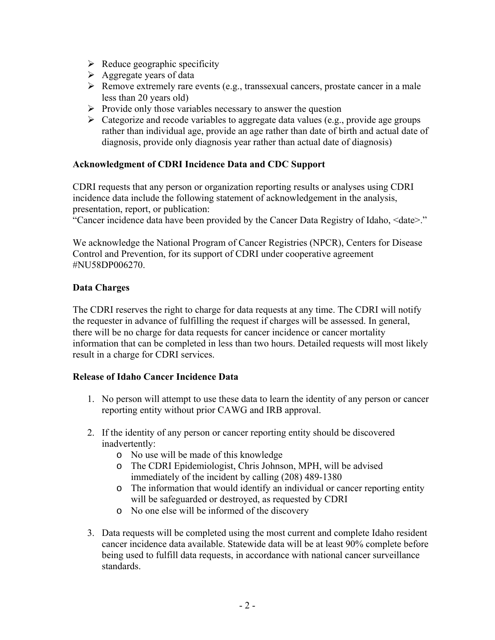- $\triangleright$  Reduce geographic specificity
- $\triangleright$  Aggregate years of data
- $\triangleright$  Remove extremely rare events (e.g., transsexual cancers, prostate cancer in a male less than 20 years old)
- $\triangleright$  Provide only those variables necessary to answer the question
- $\triangleright$  Categorize and recode variables to aggregate data values (e.g., provide age groups rather than individual age, provide an age rather than date of birth and actual date of diagnosis, provide only diagnosis year rather than actual date of diagnosis)

## **Acknowledgment of CDRI Incidence Data and CDC Support**

CDRI requests that any person or organization reporting results or analyses using CDRI incidence data include the following statement of acknowledgement in the analysis, presentation, report, or publication:

"Cancer incidence data have been provided by the Cancer Data Registry of Idaho, <date>."

We acknowledge the National Program of Cancer Registries (NPCR), Centers for Disease Control and Prevention, for its support of CDRI under cooperative agreement #NU58DP006270.

#### **Data Charges**

The CDRI reserves the right to charge for data requests at any time. The CDRI will notify the requester in advance of fulfilling the request if charges will be assessed. In general, there will be no charge for data requests for cancer incidence or cancer mortality information that can be completed in less than two hours. Detailed requests will most likely result in a charge for CDRI services.

#### **Release of Idaho Cancer Incidence Data**

- 1. No person will attempt to use these data to learn the identity of any person or cancer reporting entity without prior CAWG and IRB approval.
- 2. If the identity of any person or cancer reporting entity should be discovered inadvertently:
	- o No use will be made of this knowledge
	- o The CDRI Epidemiologist, Chris Johnson, MPH, will be advised immediately of the incident by calling (208) 489-1380
	- o The information that would identify an individual or cancer reporting entity will be safeguarded or destroyed, as requested by CDRI
	- o No one else will be informed of the discovery
- 3. Data requests will be completed using the most current and complete Idaho resident cancer incidence data available. Statewide data will be at least 90% complete before being used to fulfill data requests, in accordance with national cancer surveillance standards.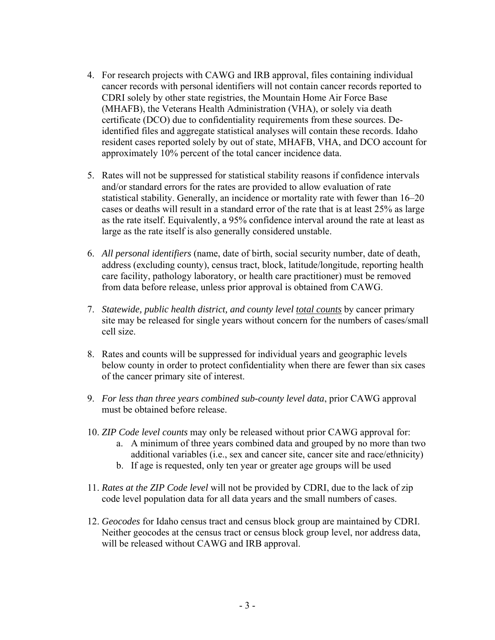- 4. For research projects with CAWG and IRB approval, files containing individual cancer records with personal identifiers will not contain cancer records reported to CDRI solely by other state registries, the Mountain Home Air Force Base (MHAFB), the Veterans Health Administration (VHA), or solely via death certificate (DCO) due to confidentiality requirements from these sources. Deidentified files and aggregate statistical analyses will contain these records. Idaho resident cases reported solely by out of state, MHAFB, VHA, and DCO account for approximately 10% percent of the total cancer incidence data.
- 5. Rates will not be suppressed for statistical stability reasons if confidence intervals and/or standard errors for the rates are provided to allow evaluation of rate statistical stability. Generally, an incidence or mortality rate with fewer than 16–20 cases or deaths will result in a standard error of the rate that is at least 25% as large as the rate itself. Equivalently, a 95% confidence interval around the rate at least as large as the rate itself is also generally considered unstable.
- 6. *All personal identifiers* (name, date of birth, social security number, date of death, address (excluding county), census tract, block, latitude/longitude, reporting health care facility, pathology laboratory, or health care practitioner) must be removed from data before release, unless prior approval is obtained from CAWG.
- 7. *Statewide, public health district, and county level total counts* by cancer primary site may be released for single years without concern for the numbers of cases/small cell size.
- 8. Rates and counts will be suppressed for individual years and geographic levels below county in order to protect confidentiality when there are fewer than six cases of the cancer primary site of interest.
- 9. *For less than three years combined sub-county level data*, prior CAWG approval must be obtained before release.
- 10. *ZIP Code level counts* may only be released without prior CAWG approval for:
	- a. A minimum of three years combined data and grouped by no more than two additional variables (i.e., sex and cancer site, cancer site and race/ethnicity)
	- b. If age is requested, only ten year or greater age groups will be used
- 11. *Rates at the ZIP Code level* will not be provided by CDRI, due to the lack of zip code level population data for all data years and the small numbers of cases.
- 12. *Geocodes* for Idaho census tract and census block group are maintained by CDRI. Neither geocodes at the census tract or census block group level, nor address data, will be released without CAWG and IRB approval.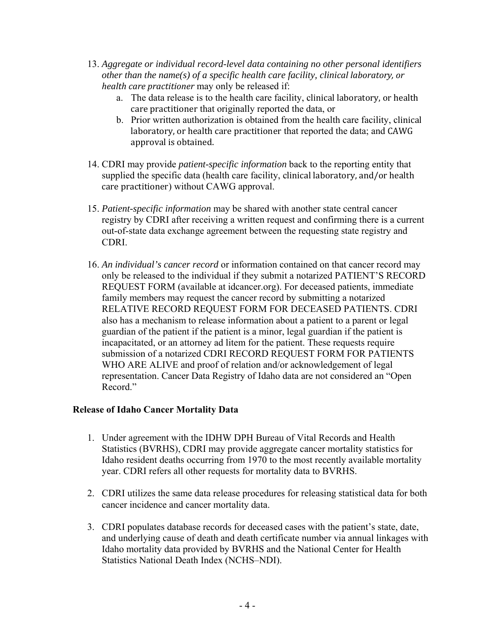- 13. *Aggregate or individual record-level data containing no other personal identifiers other than the name(s) of a specific health care facility, clinical laboratory, or health care practitioner* may only be released if:
	- a. The data release is to the health care facility, clinical laboratory, or health care practitioner that originally reported the data, or
	- b. Prior written authorization is obtained from the health care facility, clinical laboratory, or health care practitioner that reported the data; and CAWG approval is obtained.
- 14. CDRI may provide *patient-specific information* back to the reporting entity that supplied the specific data (health care facility, clinical laboratory, and/or health care practitioner) without CAWG approval.
- 15. *Patient-specific information* may be shared with another state central cancer registry by CDRI after receiving a written request and confirming there is a current out-of-state data exchange agreement between the requesting state registry and CDRI.
- 16. *An individual's cancer record* or information contained on that cancer record may only be released to the individual if they submit a notarized PATIENT'S RECORD REQUEST FORM (available at idcancer.org). For deceased patients, immediate family members may request the cancer record by submitting a notarized RELATIVE RECORD REQUEST FORM FOR DECEASED PATIENTS. CDRI also has a mechanism to release information about a patient to a parent or legal guardian of the patient if the patient is a minor, legal guardian if the patient is incapacitated, or an attorney ad litem for the patient. These requests require submission of a notarized CDRI RECORD REQUEST FORM FOR PATIENTS WHO ARE ALIVE and proof of relation and/or acknowledgement of legal representation. Cancer Data Registry of Idaho data are not considered an "Open Record."

## **Release of Idaho Cancer Mortality Data**

- 1. Under agreement with the IDHW DPH Bureau of Vital Records and Health Statistics (BVRHS), CDRI may provide aggregate cancer mortality statistics for Idaho resident deaths occurring from 1970 to the most recently available mortality year. CDRI refers all other requests for mortality data to BVRHS.
- 2. CDRI utilizes the same data release procedures for releasing statistical data for both cancer incidence and cancer mortality data.
- 3. CDRI populates database records for deceased cases with the patient's state, date, and underlying cause of death and death certificate number via annual linkages with Idaho mortality data provided by BVRHS and the National Center for Health Statistics National Death Index (NCHS–NDI).